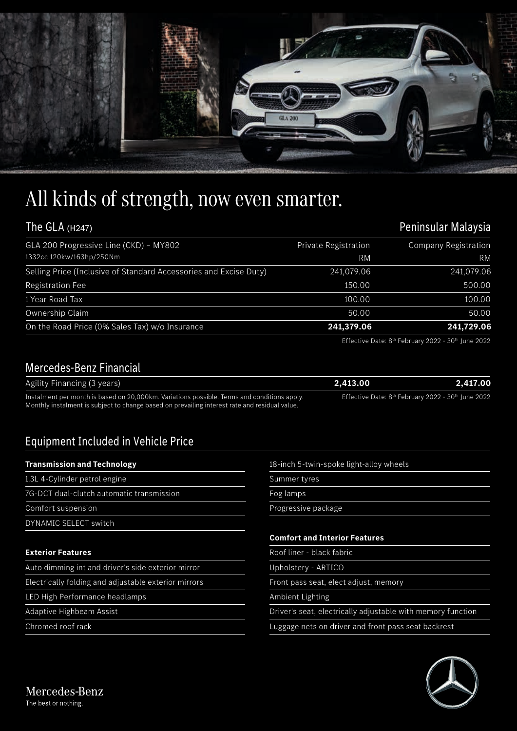

## All kinds of strength, now even smarter.

| The GLA (H247)                                                    | Peninsular Malaysia  |                             |
|-------------------------------------------------------------------|----------------------|-----------------------------|
| GLA 200 Progressive Line (CKD) - MY802                            | Private Registration | <b>Company Registration</b> |
| 1332cc 120kw/163hp/250Nm                                          | <b>RM</b>            | <b>RM</b>                   |
| Selling Price (Inclusive of Standard Accessories and Excise Duty) | 241,079.06           | 241,079.06                  |
| <b>Registration Fee</b>                                           | 150.00               | 500.00                      |
| 1 Year Road Tax                                                   | 100.00               | 100.00                      |
| Ownership Claim                                                   | 50.00                | 50.00                       |
| On the Road Price (0% Sales Tax) w/o Insurance                    | 241,379.06           | 241,729.06                  |

Effective Date: 8<sup>th</sup> February 2022 - 30<sup>th</sup> June 2022

## Mercedes-Benz Financial

| Agility Financing (3 years)                                                                   | 2.413.00 | 2.417.00                                                                   |
|-----------------------------------------------------------------------------------------------|----------|----------------------------------------------------------------------------|
| Instalment per month is based on 20,000km. Variations possible. Terms and conditions apply.   |          | Effective Date: 8 <sup>th</sup> February 2022 - 30 <sup>th</sup> June 2022 |
| Monthly instalment is subject to change based on prevailing interest rate and residual value. |          |                                                                            |

## Equipment Included in Vehicle Price

| <b>Transmission and Technology</b>                   | 18-inch 5-twin-spoke light-alloy wheels                     |  |
|------------------------------------------------------|-------------------------------------------------------------|--|
| 1.3L 4-Cylinder petrol engine                        | Summer tyres                                                |  |
| 7G-DCT dual-clutch automatic transmission            | Fog lamps                                                   |  |
| Comfort suspension                                   | Progressive package                                         |  |
| DYNAMIC SELECT switch                                |                                                             |  |
|                                                      | <b>Comfort and Interior Features</b>                        |  |
| <b>Exterior Features</b>                             | Roof liner - black fabric                                   |  |
| Auto dimming int and driver's side exterior mirror   | Upholstery - ARTICO                                         |  |
| Electrically folding and adjustable exterior mirrors | Front pass seat, elect adjust, memory                       |  |
| LED High Performance headlamps                       | Ambient Lighting                                            |  |
| Adaptive Highbeam Assist                             | Driver's seat, electrically adjustable with memory function |  |
| Chromed roof rack                                    | Luggage nets on driver and front pass seat backrest         |  |